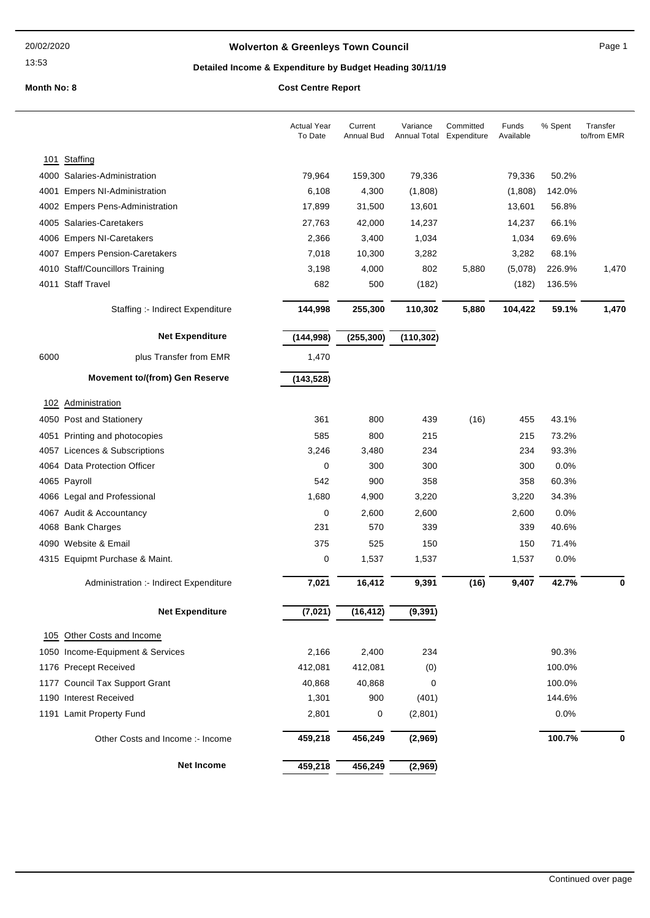## **Wolverton & Greenleys Town Council** Magnetic Page 1

13:53

## **Detailed Income & Expenditure by Budget Heading 30/11/19**

|      |                                        | <b>Actual Year</b><br>To Date | Current<br>Annual Bud | Variance<br>Annual Total | Committed<br>Expenditure | Funds<br>Available | % Spent | Transfer<br>to/from EMR |
|------|----------------------------------------|-------------------------------|-----------------------|--------------------------|--------------------------|--------------------|---------|-------------------------|
| 101  | Staffing                               |                               |                       |                          |                          |                    |         |                         |
|      | 4000 Salaries-Administration           | 79,964                        | 159,300               | 79,336                   |                          | 79,336             | 50.2%   |                         |
| 4001 | <b>Empers NI-Administration</b>        | 6,108                         | 4,300                 | (1,808)                  |                          | (1,808)            | 142.0%  |                         |
|      | 4002 Empers Pens-Administration        | 17,899                        | 31,500                | 13,601                   |                          | 13,601             | 56.8%   |                         |
|      | 4005 Salaries-Caretakers               | 27,763                        | 42,000                | 14,237                   |                          | 14,237             | 66.1%   |                         |
|      | 4006 Empers NI-Caretakers              | 2,366                         | 3,400                 | 1,034                    |                          | 1,034              | 69.6%   |                         |
|      | 4007 Empers Pension-Caretakers         | 7,018                         | 10,300                | 3,282                    |                          | 3,282              | 68.1%   |                         |
|      | 4010 Staff/Councillors Training        | 3,198                         | 4,000                 | 802                      | 5,880                    | (5,078)            | 226.9%  | 1,470                   |
|      | 4011 Staff Travel                      | 682                           | 500                   | (182)                    |                          | (182)              | 136.5%  |                         |
|      | Staffing :- Indirect Expenditure       | 144,998                       | 255,300               | 110,302                  | 5,880                    | 104,422            | 59.1%   | 1,470                   |
|      | <b>Net Expenditure</b>                 | (144, 998)                    | (255, 300)            | (110, 302)               |                          |                    |         |                         |
| 6000 | plus Transfer from EMR                 | 1,470                         |                       |                          |                          |                    |         |                         |
|      | <b>Movement to/(from) Gen Reserve</b>  | (143, 528)                    |                       |                          |                          |                    |         |                         |
|      | 102 Administration                     |                               |                       |                          |                          |                    |         |                         |
|      | 4050 Post and Stationery               | 361                           | 800                   | 439                      | (16)                     | 455                | 43.1%   |                         |
|      | 4051 Printing and photocopies          | 585                           | 800                   | 215                      |                          | 215                | 73.2%   |                         |
|      | 4057 Licences & Subscriptions          | 3,246                         | 3,480                 | 234                      |                          | 234                | 93.3%   |                         |
|      | 4064 Data Protection Officer           | 0                             | 300                   | 300                      |                          | 300                | 0.0%    |                         |
|      | 4065 Payroll                           | 542                           | 900                   | 358                      |                          | 358                | 60.3%   |                         |
|      | 4066 Legal and Professional            | 1,680                         | 4,900                 | 3,220                    |                          | 3,220              | 34.3%   |                         |
|      | 4067 Audit & Accountancy               | 0                             | 2,600                 | 2,600                    |                          | 2,600              | 0.0%    |                         |
|      | 4068 Bank Charges                      | 231                           | 570                   | 339                      |                          | 339                | 40.6%   |                         |
|      | 4090 Website & Email                   | 375                           | 525                   | 150                      |                          | 150                | 71.4%   |                         |
|      | 4315 Equipmt Purchase & Maint.         | 0                             | 1,537                 | 1,537                    |                          | 1,537              | 0.0%    |                         |
|      | Administration :- Indirect Expenditure | 7,021                         | 16,412                | 9,391                    | (16)                     | 9,407              | 42.7%   | 0                       |
|      | <b>Net Expenditure</b>                 | (7, 021)                      | (16, 412)             | (9, 391)                 |                          |                    |         |                         |
|      | 105 Other Costs and Income             |                               |                       |                          |                          |                    |         |                         |
|      | 1050 Income-Equipment & Services       | 2,166                         | 2,400                 | 234                      |                          |                    | 90.3%   |                         |
|      | 1176 Precept Received                  | 412,081                       | 412,081               | (0)                      |                          |                    | 100.0%  |                         |
|      | 1177 Council Tax Support Grant         | 40,868                        | 40,868                | 0                        |                          |                    | 100.0%  |                         |
|      | 1190 Interest Received                 | 1,301                         | 900                   | (401)                    |                          |                    | 144.6%  |                         |
|      | 1191 Lamit Property Fund               | 2,801                         | 0                     | (2,801)                  |                          |                    | 0.0%    |                         |
|      | Other Costs and Income :- Income       | 459,218                       | 456,249               | (2,969)                  |                          |                    | 100.7%  | 0                       |
|      | <b>Net Income</b>                      | 459,218                       | 456,249               | (2,969)                  |                          |                    |         |                         |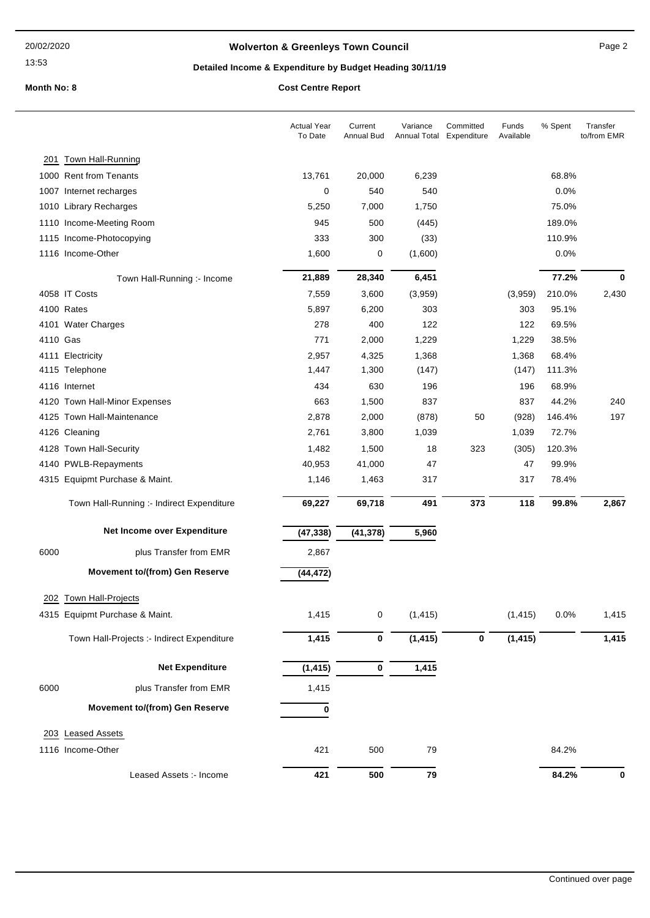# **Wolverton & Greenleys Town Council Page 2** Page 2

## **Detailed Income & Expenditure by Budget Heading 30/11/19**

**Month No: 8 C** 

| Cost Centre Report |
|--------------------|
|--------------------|

|          |                                            | <b>Actual Year</b><br>To Date | Current<br>Annual Bud | Variance | Committed<br>Annual Total Expenditure | Funds<br>Available | % Spent | Transfer<br>to/from EMR |
|----------|--------------------------------------------|-------------------------------|-----------------------|----------|---------------------------------------|--------------------|---------|-------------------------|
|          | 201 Town Hall-Running                      |                               |                       |          |                                       |                    |         |                         |
|          | 1000 Rent from Tenants                     | 13,761                        | 20,000                | 6,239    |                                       |                    | 68.8%   |                         |
|          | 1007 Internet recharges                    | 0                             | 540                   | 540      |                                       |                    | 0.0%    |                         |
|          | 1010 Library Recharges                     | 5,250                         | 7,000                 | 1,750    |                                       |                    | 75.0%   |                         |
|          | 1110 Income-Meeting Room                   | 945                           | 500                   | (445)    |                                       |                    | 189.0%  |                         |
|          | 1115 Income-Photocopying                   | 333                           | 300                   | (33)     |                                       |                    | 110.9%  |                         |
|          | 1116 Income-Other                          | 1,600                         | 0                     | (1,600)  |                                       |                    | 0.0%    |                         |
|          | Town Hall-Running :- Income                | 21,889                        | 28,340                | 6,451    |                                       |                    | 77.2%   | 0                       |
|          | 4058 IT Costs                              | 7,559                         | 3,600                 | (3,959)  |                                       | (3,959)            | 210.0%  | 2,430                   |
|          | 4100 Rates                                 | 5,897                         | 6,200                 | 303      |                                       | 303                | 95.1%   |                         |
|          | 4101 Water Charges                         | 278                           | 400                   | 122      |                                       | 122                | 69.5%   |                         |
| 4110 Gas |                                            | 771                           | 2,000                 | 1,229    |                                       | 1,229              | 38.5%   |                         |
|          | 4111 Electricity                           | 2,957                         | 4,325                 | 1,368    |                                       | 1,368              | 68.4%   |                         |
|          | 4115 Telephone                             | 1,447                         | 1,300                 | (147)    |                                       | (147)              | 111.3%  |                         |
|          | 4116 Internet                              | 434                           | 630                   | 196      |                                       | 196                | 68.9%   |                         |
|          | 4120 Town Hall-Minor Expenses              | 663                           | 1,500                 | 837      |                                       | 837                | 44.2%   | 240                     |
|          | 4125 Town Hall-Maintenance                 | 2,878                         | 2,000                 | (878)    | 50                                    | (928)              | 146.4%  | 197                     |
|          | 4126 Cleaning                              | 2,761                         | 3,800                 | 1,039    |                                       | 1,039              | 72.7%   |                         |
|          | 4128 Town Hall-Security                    | 1,482                         | 1,500                 | 18       | 323                                   | (305)              | 120.3%  |                         |
|          | 4140 PWLB-Repayments                       | 40,953                        | 41,000                | 47       |                                       | 47                 | 99.9%   |                         |
|          | 4315 Equipmt Purchase & Maint.             | 1,146                         | 1,463                 | 317      |                                       | 317                | 78.4%   |                         |
|          | Town Hall-Running :- Indirect Expenditure  | 69,227                        | 69,718                | 491      | 373                                   | 118                | 99.8%   | 2,867                   |
|          | Net Income over Expenditure                | (47, 338)                     | (41, 378)             | 5,960    |                                       |                    |         |                         |
| 6000     | plus Transfer from EMR                     | 2,867                         |                       |          |                                       |                    |         |                         |
|          | <b>Movement to/(from) Gen Reserve</b>      | (44, 472)                     |                       |          |                                       |                    |         |                         |
|          | 202 Town Hall-Projects                     |                               |                       |          |                                       |                    |         |                         |
|          | 4315 Equipmt Purchase & Maint.             | 1,415                         | 0                     | (1, 415) |                                       | (1, 415)           | 0.0%    |                         |
|          |                                            |                               |                       |          |                                       |                    |         | 1,415                   |
|          | Town Hall-Projects :- Indirect Expenditure | 1,415                         | $\pmb{0}$             | (1, 415) | 0                                     | (1, 415)           |         | 1,415                   |
|          | <b>Net Expenditure</b>                     | (1, 415)                      | 0                     | 1,415    |                                       |                    |         |                         |
| 6000     | plus Transfer from EMR                     | 1,415                         |                       |          |                                       |                    |         |                         |
|          | <b>Movement to/(from) Gen Reserve</b>      | 0                             |                       |          |                                       |                    |         |                         |
| 203      | <b>Leased Assets</b>                       |                               |                       |          |                                       |                    |         |                         |
|          | 1116 Income-Other                          | 421                           | 500                   | 79       |                                       |                    | 84.2%   |                         |
|          |                                            |                               |                       |          |                                       |                    |         |                         |
|          | Leased Assets :- Income                    | 421                           | 500                   | 79       |                                       |                    | 84.2%   | 0                       |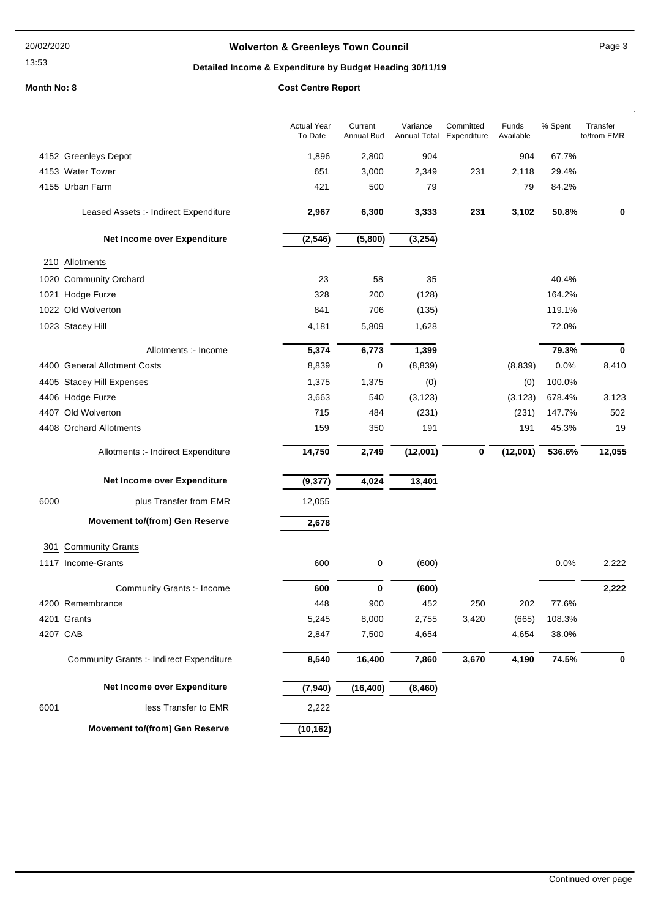## **Wolverton & Greenleys Town Council** Manual Page 3

## **Detailed Income & Expenditure by Budget Heading 30/11/19**

|          |                                                 | <b>Actual Year</b><br>To Date | Current<br>Annual Bud | Variance | Committed<br>Annual Total Expenditure | Funds<br>Available | % Spent | Transfer<br>to/from EMR |
|----------|-------------------------------------------------|-------------------------------|-----------------------|----------|---------------------------------------|--------------------|---------|-------------------------|
|          | 4152 Greenleys Depot                            | 1,896                         | 2,800                 | 904      |                                       | 904                | 67.7%   |                         |
|          | 4153 Water Tower                                | 651                           | 3,000                 | 2,349    | 231                                   | 2,118              | 29.4%   |                         |
|          | 4155 Urban Farm                                 | 421                           | 500                   | 79       |                                       | 79                 | 84.2%   |                         |
|          | Leased Assets :- Indirect Expenditure           | 2,967                         | 6,300                 | 3,333    | 231                                   | 3,102              | 50.8%   | 0                       |
|          | Net Income over Expenditure                     | (2, 546)                      | (5,800)               | (3, 254) |                                       |                    |         |                         |
|          | 210 Allotments                                  |                               |                       |          |                                       |                    |         |                         |
|          | 1020 Community Orchard                          | 23                            | 58                    | 35       |                                       |                    | 40.4%   |                         |
|          | 1021 Hodge Furze                                | 328                           | 200                   | (128)    |                                       |                    | 164.2%  |                         |
|          | 1022 Old Wolverton                              | 841                           | 706                   | (135)    |                                       |                    | 119.1%  |                         |
|          | 1023 Stacey Hill                                | 4,181                         | 5,809                 | 1,628    |                                       |                    | 72.0%   |                         |
|          | Allotments :- Income                            | 5,374                         | 6,773                 | 1,399    |                                       |                    | 79.3%   | $\bf{0}$                |
|          | 4400 General Allotment Costs                    | 8,839                         | 0                     | (8,839)  |                                       | (8,839)            | 0.0%    | 8,410                   |
|          | 4405 Stacey Hill Expenses                       | 1,375                         | 1,375                 | (0)      |                                       | (0)                | 100.0%  |                         |
|          | 4406 Hodge Furze                                | 3,663                         | 540                   | (3, 123) |                                       | (3, 123)           | 678.4%  | 3,123                   |
|          | 4407 Old Wolverton                              | 715                           | 484                   | (231)    |                                       | (231)              | 147.7%  | 502                     |
|          | 4408 Orchard Allotments                         | 159                           | 350                   | 191      |                                       | 191                | 45.3%   | 19                      |
|          | Allotments :- Indirect Expenditure              | 14,750                        | 2,749                 | (12,001) | $\bf{0}$                              | (12,001)           | 536.6%  | 12,055                  |
|          | Net Income over Expenditure                     | (9, 377)                      | 4,024                 | 13,401   |                                       |                    |         |                         |
| 6000     | plus Transfer from EMR                          | 12,055                        |                       |          |                                       |                    |         |                         |
|          | <b>Movement to/(from) Gen Reserve</b>           | 2,678                         |                       |          |                                       |                    |         |                         |
| 301      | <b>Community Grants</b>                         |                               |                       |          |                                       |                    |         |                         |
|          | 1117 Income-Grants                              | 600                           | 0                     | (600)    |                                       |                    | 0.0%    | 2,222                   |
|          | Community Grants :- Income                      | 600                           | 0                     | (600)    |                                       |                    |         | 2,222                   |
|          | 4200 Remembrance                                | 448                           | 900                   | 452      | 250                                   | 202                | 77.6%   |                         |
|          | 4201 Grants                                     | 5,245                         | 8,000                 | 2,755    | 3,420                                 | (665)              | 108.3%  |                         |
| 4207 CAB |                                                 | 2,847                         | 7,500                 | 4,654    |                                       | 4,654              | 38.0%   |                         |
|          | <b>Community Grants :- Indirect Expenditure</b> | 8,540                         | 16,400                | 7,860    | 3,670                                 | 4,190              | 74.5%   | 0                       |
|          | Net Income over Expenditure                     | (7, 940)                      | (16, 400)             | (8, 460) |                                       |                    |         |                         |
| 6001     | less Transfer to EMR                            | 2,222                         |                       |          |                                       |                    |         |                         |
|          | <b>Movement to/(from) Gen Reserve</b>           | (10, 162)                     |                       |          |                                       |                    |         |                         |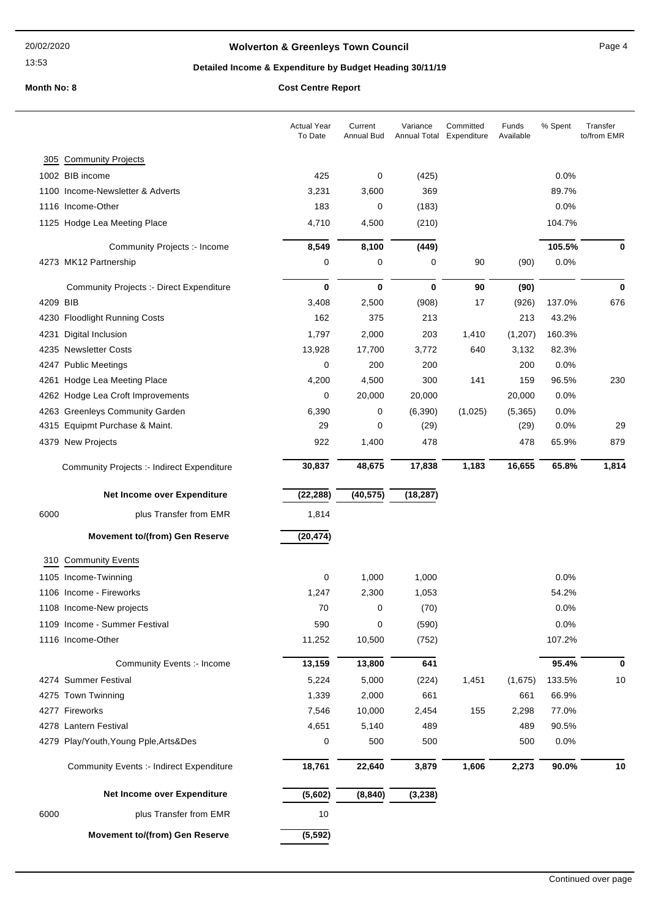## **Wolverton & Greenleys Town Council Contract Contract Contract Page 4**

## **Detailed Income & Expenditure by Budget Heading 30/11/19**

|          |                                                 | <b>Actual Year</b><br>To Date | Current<br>Annual Bud | Variance<br>Annual Total | Committed<br>Expenditure | Funds<br>Available | % Spent | Transfer<br>to/from EMR |
|----------|-------------------------------------------------|-------------------------------|-----------------------|--------------------------|--------------------------|--------------------|---------|-------------------------|
| 305      | <b>Community Projects</b>                       |                               |                       |                          |                          |                    |         |                         |
|          | 1002 BIB income                                 | 425                           | 0                     | (425)                    |                          |                    | 0.0%    |                         |
|          | 1100 Income-Newsletter & Adverts                | 3,231                         | 3,600                 | 369                      |                          |                    | 89.7%   |                         |
|          | 1116 Income-Other                               | 183                           | 0                     | (183)                    |                          |                    | 0.0%    |                         |
|          | 1125 Hodge Lea Meeting Place                    | 4,710                         | 4,500                 | (210)                    |                          |                    | 104.7%  |                         |
|          | Community Projects :- Income                    | 8,549                         | 8,100                 | (449)                    |                          |                    | 105.5%  | 0                       |
|          | 4273 MK12 Partnership                           | 0                             | 0                     | 0                        | 90                       | (90)               | 0.0%    |                         |
|          | <b>Community Projects :- Direct Expenditure</b> | $\bf{0}$                      | $\bf{0}$              | $\mathbf 0$              | 90                       | (90)               |         | $\bf{0}$                |
| 4209 BIB |                                                 | 3,408                         | 2,500                 | (908)                    | 17                       | (926)              | 137.0%  | 676                     |
|          | 4230 Floodlight Running Costs                   | 162                           | 375                   | 213                      |                          | 213                | 43.2%   |                         |
|          | 4231 Digital Inclusion                          | 1,797                         | 2,000                 | 203                      | 1,410                    | (1,207)            | 160.3%  |                         |
|          | 4235 Newsletter Costs                           | 13,928                        | 17,700                | 3,772                    | 640                      | 3,132              | 82.3%   |                         |
|          | 4247 Public Meetings                            | 0                             | 200                   | 200                      |                          | 200                | 0.0%    |                         |
|          | 4261 Hodge Lea Meeting Place                    | 4,200                         | 4,500                 | 300                      | 141                      | 159                | 96.5%   | 230                     |
|          | 4262 Hodge Lea Croft Improvements               | 0                             | 20,000                | 20,000                   |                          | 20,000             | 0.0%    |                         |
|          | 4263 Greenleys Community Garden                 | 6,390                         | 0                     | (6,390)                  | (1,025)                  | (5,365)            | 0.0%    |                         |
|          | 4315 Equipmt Purchase & Maint.                  | 29                            | 0                     | (29)                     |                          | (29)               | 0.0%    | 29                      |
|          | 4379 New Projects                               | 922                           | 1,400                 | 478                      |                          | 478                | 65.9%   | 879                     |
|          | Community Projects :- Indirect Expenditure      | 30,837                        | 48,675                | 17,838                   | 1,183                    | 16,655             | 65.8%   | 1,814                   |
|          | Net Income over Expenditure                     | (22, 288)                     | (40, 575)             | (18, 287)                |                          |                    |         |                         |
| 6000     | plus Transfer from EMR                          | 1,814                         |                       |                          |                          |                    |         |                         |
|          | <b>Movement to/(from) Gen Reserve</b>           | (20, 474)                     |                       |                          |                          |                    |         |                         |
|          | 310 Community Events                            |                               |                       |                          |                          |                    |         |                         |
|          | 1105 Income-Twinning                            | 0                             | 1,000                 | 1,000                    |                          |                    | 0.0%    |                         |
|          | 1106 Income - Fireworks                         | 1,247                         | 2,300                 | 1,053                    |                          |                    | 54.2%   |                         |
|          | 1108 Income-New projects                        | 70                            | 0                     | (70)                     |                          |                    | 0.0%    |                         |
|          | 1109 Income - Summer Festival                   | 590                           | 0                     | (590)                    |                          |                    | 0.0%    |                         |
|          | 1116 Income-Other                               | 11,252                        | 10,500                | (752)                    |                          |                    | 107.2%  |                         |
|          | Community Events :- Income                      | 13,159                        | 13,800                | 641                      |                          |                    | 95.4%   | 0                       |
|          | 4274 Summer Festival                            | 5,224                         | 5,000                 | (224)                    | 1,451                    | (1,675)            | 133.5%  | 10                      |
|          | 4275 Town Twinning                              | 1,339                         | 2,000                 | 661                      |                          | 661                | 66.9%   |                         |
|          | 4277 Fireworks                                  | 7,546                         | 10,000                | 2,454                    | 155                      | 2,298              | 77.0%   |                         |
|          | 4278 Lantern Festival                           | 4,651                         | 5,140                 | 489                      |                          | 489                | 90.5%   |                         |
|          | 4279 Play/Youth, Young Pple, Arts&Des           | 0                             | 500                   | 500                      |                          | 500                | 0.0%    |                         |
|          | <b>Community Events :- Indirect Expenditure</b> | 18,761                        | 22,640                | 3,879                    | 1,606                    | 2,273              | 90.0%   | 10                      |
|          | Net Income over Expenditure                     | (5,602)                       | (8, 840)              | (3, 238)                 |                          |                    |         |                         |
| 6000     | plus Transfer from EMR                          | 10                            |                       |                          |                          |                    |         |                         |
|          | <b>Movement to/(from) Gen Reserve</b>           | (5, 592)                      |                       |                          |                          |                    |         |                         |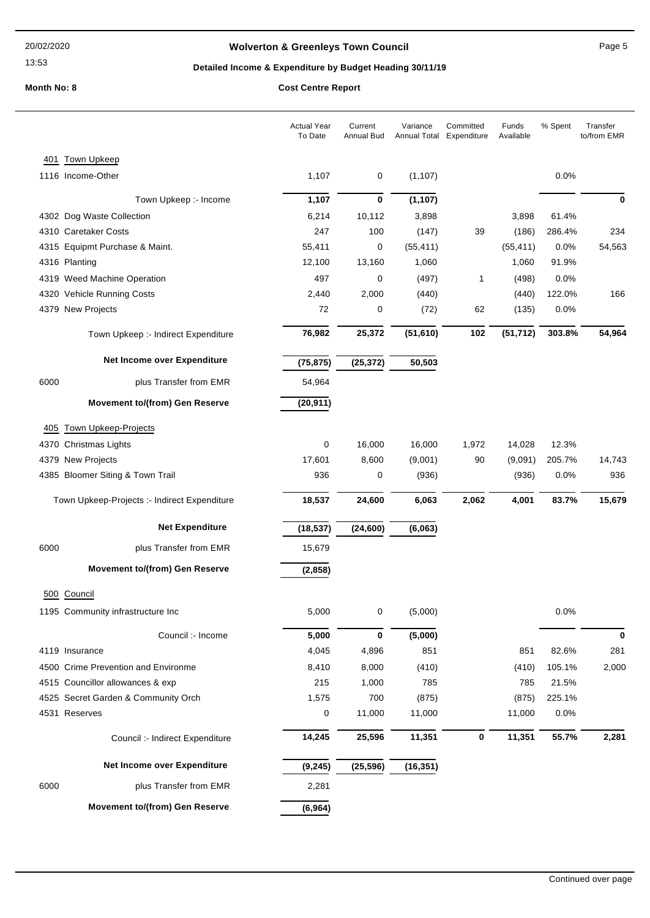## **Wolverton & Greenleys Town Council Page 5** Page 5

## **Detailed Income & Expenditure by Budget Heading 30/11/19**

|      |                                              | <b>Actual Year</b><br>To Date | Current<br><b>Annual Bud</b> | Variance  | Committed<br>Annual Total Expenditure | Funds<br>Available | % Spent | Transfer<br>to/from EMR |
|------|----------------------------------------------|-------------------------------|------------------------------|-----------|---------------------------------------|--------------------|---------|-------------------------|
| 401  | Town Upkeep                                  |                               |                              |           |                                       |                    |         |                         |
|      | 1116 Income-Other                            | 1,107                         | 0                            | (1, 107)  |                                       |                    | 0.0%    |                         |
|      | Town Upkeep :- Income                        | 1,107                         | $\bf{0}$                     | (1, 107)  |                                       |                    |         | 0                       |
|      | 4302 Dog Waste Collection                    | 6,214                         | 10,112                       | 3,898     |                                       | 3,898              | 61.4%   |                         |
|      | 4310 Caretaker Costs                         | 247                           | 100                          | (147)     | 39                                    | (186)              | 286.4%  | 234                     |
|      | 4315 Equipmt Purchase & Maint.               | 55,411                        | $\mathbf 0$                  | (55, 411) |                                       | (55, 411)          | 0.0%    | 54,563                  |
|      | 4316 Planting                                | 12,100                        | 13,160                       | 1,060     |                                       | 1,060              | 91.9%   |                         |
|      | 4319 Weed Machine Operation                  | 497                           | 0                            | (497)     | 1                                     | (498)              | 0.0%    |                         |
|      | 4320 Vehicle Running Costs                   | 2,440                         | 2,000                        | (440)     |                                       | (440)              | 122.0%  | 166                     |
|      | 4379 New Projects                            | 72                            | 0                            | (72)      | 62                                    | (135)              | 0.0%    |                         |
|      | Town Upkeep :- Indirect Expenditure          | 76,982                        | 25,372                       | (51, 610) | 102                                   | (51, 712)          | 303.8%  | 54,964                  |
|      | Net Income over Expenditure                  | (75, 875)                     | (25, 372)                    | 50,503    |                                       |                    |         |                         |
| 6000 | plus Transfer from EMR                       | 54,964                        |                              |           |                                       |                    |         |                         |
|      | <b>Movement to/(from) Gen Reserve</b>        | (20, 911)                     |                              |           |                                       |                    |         |                         |
| 405  | <b>Town Upkeep-Projects</b>                  |                               |                              |           |                                       |                    |         |                         |
|      | 4370 Christmas Lights                        | 0                             | 16,000                       | 16,000    | 1,972                                 | 14,028             | 12.3%   |                         |
|      | 4379 New Projects                            | 17,601                        | 8,600                        | (9,001)   | 90                                    | (9,091)            | 205.7%  | 14,743                  |
|      | 4385 Bloomer Siting & Town Trail             | 936                           | 0                            | (936)     |                                       | (936)              | 0.0%    | 936                     |
|      | Town Upkeep-Projects :- Indirect Expenditure | 18,537                        | 24,600                       | 6,063     | 2,062                                 | 4,001              | 83.7%   | 15,679                  |
|      | <b>Net Expenditure</b>                       | (18, 537)                     | (24, 600)                    | (6,063)   |                                       |                    |         |                         |
| 6000 | plus Transfer from EMR                       | 15,679                        |                              |           |                                       |                    |         |                         |
|      | <b>Movement to/(from) Gen Reserve</b>        | (2,858)                       |                              |           |                                       |                    |         |                         |
|      | 500 Council                                  |                               |                              |           |                                       |                    |         |                         |
|      | 1195 Community infrastructure Inc            | 5,000                         | 0                            | (5,000)   |                                       |                    | 0.0%    |                         |
|      | Council :- Income                            | 5,000                         | $\bf{0}$                     | (5,000)   |                                       |                    |         | 0                       |
|      | 4119 Insurance                               | 4,045                         | 4,896                        | 851       |                                       | 851                | 82.6%   | 281                     |
|      | 4500 Crime Prevention and Environme          | 8,410                         | 8,000                        | (410)     |                                       | (410)              | 105.1%  | 2,000                   |
|      | 4515 Councillor allowances & exp             | 215                           | 1,000                        | 785       |                                       | 785                | 21.5%   |                         |
|      | 4525 Secret Garden & Community Orch          | 1,575                         | 700                          | (875)     |                                       | (875)              | 225.1%  |                         |
|      | 4531 Reserves                                | 0                             | 11,000                       | 11,000    |                                       | 11,000             | 0.0%    |                         |
|      | Council :- Indirect Expenditure              | 14,245                        | 25,596                       | 11,351    | 0                                     | 11,351             | 55.7%   | 2,281                   |
|      | Net Income over Expenditure                  | (9, 245)                      | (25, 596)                    | (16, 351) |                                       |                    |         |                         |
| 6000 | plus Transfer from EMR                       | 2,281                         |                              |           |                                       |                    |         |                         |
|      | <b>Movement to/(from) Gen Reserve</b>        | (6,964)                       |                              |           |                                       |                    |         |                         |